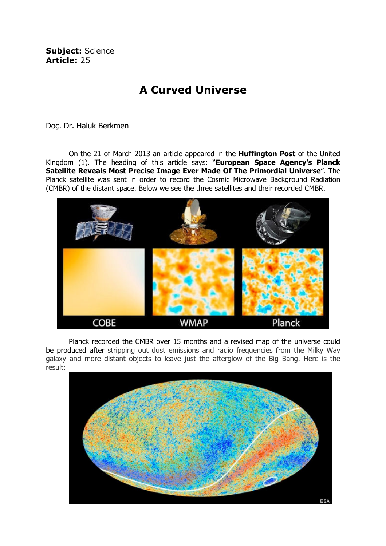Subject: Science Article: 25

## A Curved Universe

Doç. Dr. Haluk Berkmen

On the 21 of March 2013 an article appeared in the Huffington Post of the United Kingdom (1). The heading of this article says: "European Space Agency's Planck Satellite Reveals Most Precise Image Ever Made Of The Primordial Universe". The Planck satellite was sent in order to record the Cosmic Microwave Background Radiation (CMBR) of the distant space. Below we see the three satellites and their recorded CMBR.



 Planck recorded the CMBR over 15 months and a revised map of the universe could be produced after stripping out dust emissions and radio frequencies from the Milky Way galaxy and more distant objects to leave just the afterglow of the Big Bang. Here is the result: